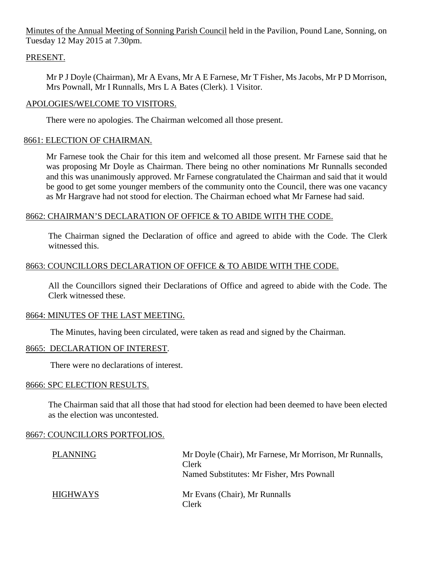Minutes of the Annual Meeting of Sonning Parish Council held in the Pavilion, Pound Lane, Sonning, on Tuesday 12 May 2015 at 7.30pm.

## PRESENT.

Mr P J Doyle (Chairman), Mr A Evans, Mr A E Farnese, Mr T Fisher, Ms Jacobs, Mr P D Morrison, Mrs Pownall, Mr I Runnalls, Mrs L A Bates (Clerk). 1 Visitor.

## APOLOGIES/WELCOME TO VISITORS.

There were no apologies. The Chairman welcomed all those present.

## 8661: ELECTION OF CHAIRMAN.

Mr Farnese took the Chair for this item and welcomed all those present. Mr Farnese said that he was proposing Mr Doyle as Chairman. There being no other nominations Mr Runnalls seconded and this was unanimously approved. Mr Farnese congratulated the Chairman and said that it would be good to get some younger members of the community onto the Council, there was one vacancy as Mr Hargrave had not stood for election. The Chairman echoed what Mr Farnese had said.

## 8662: CHAIRMAN'S DECLARATION OF OFFICE & TO ABIDE WITH THE CODE.

The Chairman signed the Declaration of office and agreed to abide with the Code. The Clerk witnessed this.

## 8663: COUNCILLORS DECLARATION OF OFFICE & TO ABIDE WITH THE CODE.

All the Councillors signed their Declarations of Office and agreed to abide with the Code. The Clerk witnessed these.

## 8664: MINUTES OF THE LAST MEETING.

The Minutes, having been circulated, were taken as read and signed by the Chairman.

## 8665: DECLARATION OF INTEREST.

There were no declarations of interest.

## 8666: SPC ELECTION RESULTS.

The Chairman said that all those that had stood for election had been deemed to have been elected as the election was uncontested.

## 8667: COUNCILLORS PORTFOLIOS.

| <b>PLANNING</b> | Mr Doyle (Chair), Mr Farnese, Mr Morrison, Mr Runnalls,<br>Clerk<br>Named Substitutes: Mr Fisher, Mrs Pownall |
|-----------------|---------------------------------------------------------------------------------------------------------------|
| <b>HIGHWAYS</b> | Mr Evans (Chair), Mr Runnalls<br>Clerk                                                                        |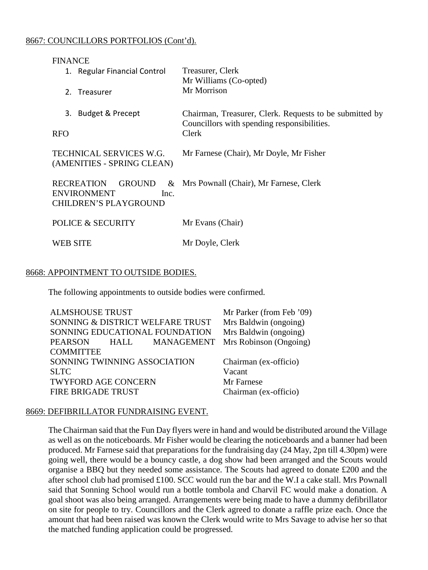## 8667: COUNCILLORS PORTFOLIOS (Cont'd).

| <b>FINANCE</b>                                          |                                                                                                        |
|---------------------------------------------------------|--------------------------------------------------------------------------------------------------------|
| 1. Regular Financial Control                            | Treasurer, Clerk<br>Mr Williams (Co-opted)                                                             |
| Treasurer<br>$2_{-}$                                    | Mr Morrison                                                                                            |
| 3. Budget & Precept                                     | Chairman, Treasurer, Clerk. Requests to be submitted by<br>Councillors with spending responsibilities. |
| <b>RFO</b>                                              | Clerk                                                                                                  |
| TECHNICAL SERVICES W.G.<br>(AMENITIES - SPRING CLEAN)   | Mr Farnese (Chair), Mr Doyle, Mr Fisher                                                                |
| RECREATION GROUND<br>$\&$<br><b>ENVIRONMENT</b><br>Inc. | Mrs Pownall (Chair), Mr Farnese, Clerk                                                                 |
| <b>CHILDREN'S PLAYGROUND</b>                            |                                                                                                        |
| <b>POLICE &amp; SECURITY</b>                            | Mr Evans (Chair)                                                                                       |
| <b>WEB SITE</b>                                         | Mr Doyle, Clerk                                                                                        |

## 8668: APPOINTMENT TO OUTSIDE BODIES.

The following appointments to outside bodies were confirmed.

| Mr Parker (from Feb '09) |
|--------------------------|
| Mrs Baldwin (ongoing)    |
| Mrs Baldwin (ongoing)    |
| Mrs Robinson (Ongoing)   |
|                          |
| Chairman (ex-officio)    |
| Vacant                   |
| Mr Farnese               |
| Chairman (ex-officio)    |
|                          |

## 8669: DEFIBRILLATOR FUNDRAISING EVENT.

The Chairman said that the Fun Day flyers were in hand and would be distributed around the Village as well as on the noticeboards. Mr Fisher would be clearing the noticeboards and a banner had been produced. Mr Farnese said that preparations for the fundraising day (24 May, 2pn till 4.30pm) were going well, there would be a bouncy castle, a dog show had been arranged and the Scouts would organise a BBQ but they needed some assistance. The Scouts had agreed to donate £200 and the after school club had promised £100. SCC would run the bar and the W.I a cake stall. Mrs Pownall said that Sonning School would run a bottle tombola and Charvil FC would make a donation. A goal shoot was also being arranged. Arrangements were being made to have a dummy defibrillator on site for people to try. Councillors and the Clerk agreed to donate a raffle prize each. Once the amount that had been raised was known the Clerk would write to Mrs Savage to advise her so that the matched funding application could be progressed.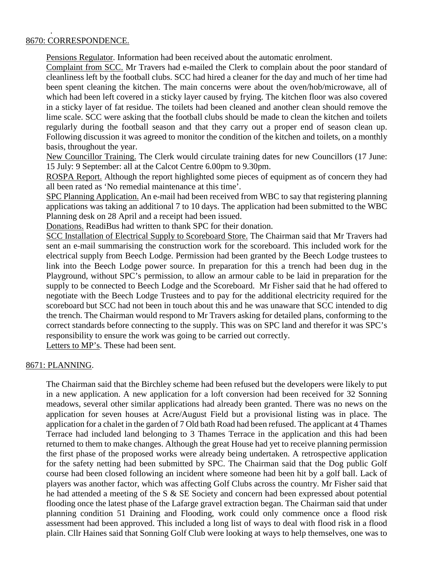### 8670: CORRESPONDENCE.

.

Pensions Regulator. Information had been received about the automatic enrolment.

Complaint from SCC. Mr Travers had e-mailed the Clerk to complain about the poor standard of cleanliness left by the football clubs. SCC had hired a cleaner for the day and much of her time had been spent cleaning the kitchen. The main concerns were about the oven/hob/microwave, all of which had been left covered in a sticky layer caused by frying. The kitchen floor was also covered in a sticky layer of fat residue. The toilets had been cleaned and another clean should remove the lime scale. SCC were asking that the football clubs should be made to clean the kitchen and toilets regularly during the football season and that they carry out a proper end of season clean up. Following discussion it was agreed to monitor the condition of the kitchen and toilets, on a monthly basis, throughout the year.

New Councillor Training. The Clerk would circulate training dates for new Councillors (17 June: 15 July: 9 September: all at the Calcot Centre 6.00pm to 9.30pm.

ROSPA Report. Although the report highlighted some pieces of equipment as of concern they had all been rated as 'No remedial maintenance at this time'.

SPC Planning Application. An e-mail had been received from WBC to say that registering planning applications was taking an additional 7 to 10 days. The application had been submitted to the WBC Planning desk on 28 April and a receipt had been issued.

Donations. ReadiBus had written to thank SPC for their donation.

SCC Installation of Electrical Supply to Scoreboard Store. The Chairman said that Mr Travers had sent an e-mail summarising the construction work for the scoreboard. This included work for the electrical supply from Beech Lodge. Permission had been granted by the Beech Lodge trustees to link into the Beech Lodge power source. In preparation for this a trench had been dug in the Playground, without SPC's permission, to allow an armour cable to be laid in preparation for the supply to be connected to Beech Lodge and the Scoreboard. Mr Fisher said that he had offered to negotiate with the Beech Lodge Trustees and to pay for the additional electricity required for the scoreboard but SCC had not been in touch about this and he was unaware that SCC intended to dig the trench. The Chairman would respond to Mr Travers asking for detailed plans, conforming to the correct standards before connecting to the supply. This was on SPC land and therefor it was SPC's responsibility to ensure the work was going to be carried out correctly.

Letters to MP's. These had been sent.

## 8671: PLANNING.

The Chairman said that the Birchley scheme had been refused but the developers were likely to put in a new application. A new application for a loft conversion had been received for 32 Sonning meadows, several other similar applications had already been granted. There was no news on the application for seven houses at Acre/August Field but a provisional listing was in place. The application for a chalet in the garden of 7 Old bath Road had been refused. The applicant at 4 Thames Terrace had included land belonging to 3 Thames Terrace in the application and this had been returned to them to make changes. Although the great House had yet to receive planning permission the first phase of the proposed works were already being undertaken. A retrospective application for the safety netting had been submitted by SPC. The Chairman said that the Dog public Golf course had been closed following an incident where someone had been hit by a golf ball. Lack of players was another factor, which was affecting Golf Clubs across the country. Mr Fisher said that he had attended a meeting of the S & SE Society and concern had been expressed about potential flooding once the latest phase of the Lafarge gravel extraction began. The Chairman said that under planning condition 51 Draining and Flooding, work could only commence once a flood risk assessment had been approved. This included a long list of ways to deal with flood risk in a flood plain. Cllr Haines said that Sonning Golf Club were looking at ways to help themselves, one was to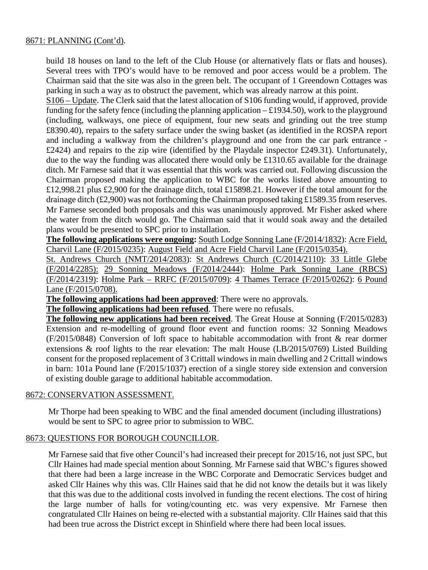build 18 houses on land to the left of the Club House (or alternatively flats or flats and houses). Several trees with TPO's would have to be removed and poor access would be a problem. The Chairman said that the site was also in the green belt. The occupant of 1 Greendown Cottages was parking in such a way as to obstruct the pavement, which was already narrow at this point.

S106 – Update. The Clerk said that the latest allocation of S106 funding would, if approved, provide funding for the safety fence (including the planning application  $-\pounds 1934.50$ ), work to the playground (including, walkways, one piece of equipment, four new seats and grinding out the tree stump £8390.40), repairs to the safety surface under the swing basket (as identified in the ROSPA report and including a walkway from the children's playground and one from the car park entrance - £2424) and repairs to the zip wire (identified by the Playdale inspector £249.31). Unfortunately, due to the way the funding was allocated there would only be £1310.65 available for the drainage ditch. Mr Farnese said that it was essential that this work was carried out. Following discussion the Chairman proposed making the application to WBC for the works listed above amounting to £12,998.21 plus £2,900 for the drainage ditch, total £15898.21. However if the total amount for the drainage ditch (£2,900) was not forthcoming the Chairman proposed taking £1589.35 from reserves. Mr Farnese seconded both proposals and this was unanimously approved. Mr Fisher asked where the water from the ditch would go. The Chairman said that it would soak away and the detailed plans would be presented to SPC prior to installation.

**The following applications were ongoing:** South Lodge Sonning Lane (F/2014/1832): Acre Field, Charvil Lane (F/2015/0235): August Field and Acre Field Charvil Lane (F/2015/0354).

St. Andrews Church (NMT/2014/2083): St Andrews Church (C/2014/2110): 33 Little Glebe (F/2014/2285): 29 Sonning Meadows (F/2014/2444): Holme Park Sonning Lane (RBCS) (F/2014/2319): Holme Park – RRFC (F/2015/0709): 4 Thames Terrace (F/2015/0262): 6 Pound Lane (F/2015/0708).

**The following applications had been approved**: There were no approvals.

**The following applications had been refused**. There were no refusals.

**The following new applications had been received**. The Great House at Sonning (F/2015/0283) Extension and re-modelling of ground floor event and function rooms: 32 Sonning Meadows (F/2015/0848) Conversion of loft space to habitable accommodation with front & rear dormer extensions & roof lights to the rear elevation: The malt House (LB/2015/0769) Listed Building consent for the proposed replacement of 3 Crittall windows in main dwelling and 2 Crittall windows in barn: 101a Pound lane (F/2015/1037) erection of a single storey side extension and conversion of existing double garage to additional habitable accommodation.

## 8672: CONSERVATION ASSESSMENT.

Mr Thorpe had been speaking to WBC and the final amended document (including illustrations) would be sent to SPC to agree prior to submission to WBC.

## 8673: QUESTIONS FOR BOROUGH COUNCILLOR.

Mr Farnese said that five other Council's had increased their precept for 2015/16, not just SPC, but Cllr Haines had made special mention about Sonning. Mr Farnese said that WBC's figures showed that there had been a large increase in the WBC Corporate and Democratic Services budget and asked Cllr Haines why this was. Cllr Haines said that he did not know the details but it was likely that this was due to the additional costs involved in funding the recent elections. The cost of hiring the large number of halls for voting/counting etc. was very expensive. Mr Farnese then congratulated Cllr Haines on being re-elected with a substantial majority. Cllr Haines said that this had been true across the District except in Shinfield where there had been local issues.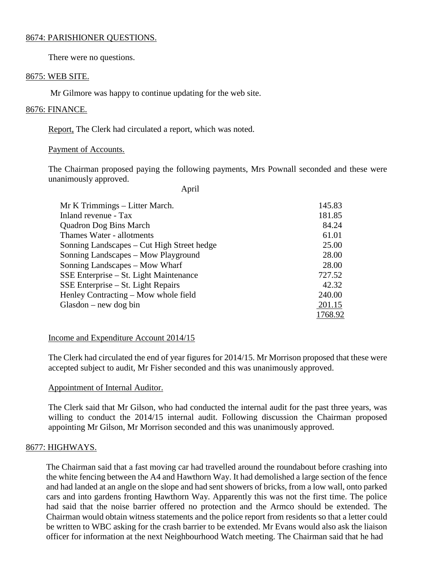#### 8674: PARISHIONER QUESTIONS.

There were no questions.

## 8675: WEB SITE.

Mr Gilmore was happy to continue updating for the web site.

## 8676: FINANCE.

Report, The Clerk had circulated a report, which was noted.

## Payment of Accounts.

The Chairman proposed paying the following payments, Mrs Pownall seconded and these were unanimously approved.

April

| Mr K Trimmings – Litter March.             | 145.83  |
|--------------------------------------------|---------|
| Inland revenue - Tax                       | 181.85  |
| <b>Quadron Dog Bins March</b>              | 84.24   |
| Thames Water - allotments                  | 61.01   |
| Sonning Landscapes – Cut High Street hedge | 25.00   |
| Sonning Landscapes – Mow Playground        | 28.00   |
| Sonning Landscapes – Mow Wharf             | 28.00   |
| SSE Enterprise – St. Light Maintenance     | 727.52  |
| $SSE$ Enterprise – St. Light Repairs       | 42.32   |
| Henley Contracting – Mow whole field       | 240.00  |
| $G$ lasdon – new dog bin                   | 201.15  |
|                                            | 1768.92 |

## Income and Expenditure Account 2014/15

The Clerk had circulated the end of year figures for 2014/15. Mr Morrison proposed that these were accepted subject to audit, Mr Fisher seconded and this was unanimously approved.

## Appointment of Internal Auditor.

The Clerk said that Mr Gilson, who had conducted the internal audit for the past three years, was willing to conduct the 2014/15 internal audit. Following discussion the Chairman proposed appointing Mr Gilson, Mr Morrison seconded and this was unanimously approved.

## 8677: HIGHWAYS.

The Chairman said that a fast moving car had travelled around the roundabout before crashing into the white fencing between the A4 and Hawthorn Way. It had demolished a large section of the fence and had landed at an angle on the slope and had sent showers of bricks, from a low wall, onto parked cars and into gardens fronting Hawthorn Way. Apparently this was not the first time. The police had said that the noise barrier offered no protection and the Armco should be extended. The Chairman would obtain witness statements and the police report from residents so that a letter could be written to WBC asking for the crash barrier to be extended. Mr Evans would also ask the liaison officer for information at the next Neighbourhood Watch meeting. The Chairman said that he had